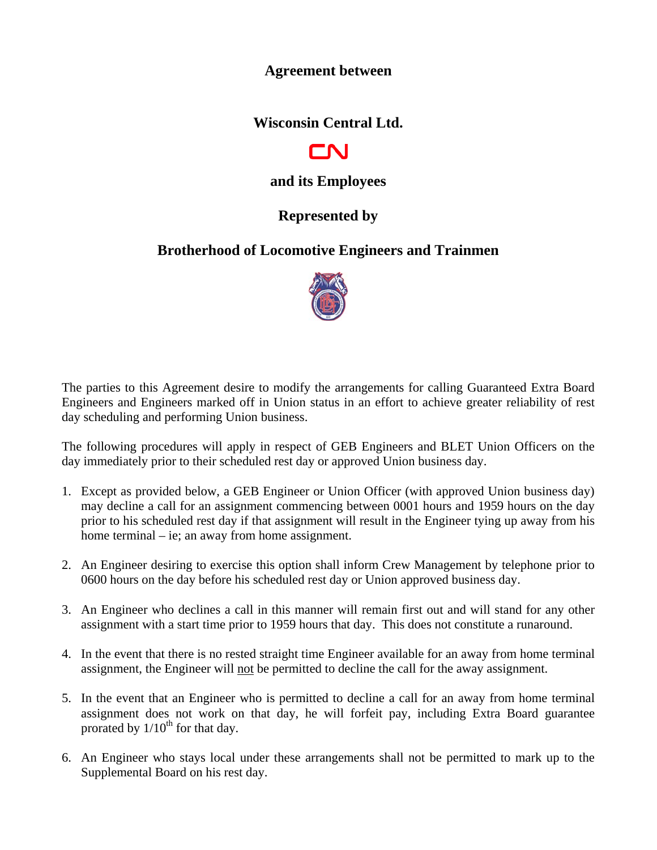#### **Agreement between**

**Wisconsin Central Ltd.** 



# **and its Employees**

## **Represented by**

## **Brotherhood of Locomotive Engineers and Trainmen**



The parties to this Agreement desire to modify the arrangements for calling Guaranteed Extra Board Engineers and Engineers marked off in Union status in an effort to achieve greater reliability of rest day scheduling and performing Union business.

The following procedures will apply in respect of GEB Engineers and BLET Union Officers on the day immediately prior to their scheduled rest day or approved Union business day.

- 1. Except as provided below, a GEB Engineer or Union Officer (with approved Union business day) may decline a call for an assignment commencing between 0001 hours and 1959 hours on the day prior to his scheduled rest day if that assignment will result in the Engineer tying up away from his home terminal – ie; an away from home assignment.
- 2. An Engineer desiring to exercise this option shall inform Crew Management by telephone prior to 0600 hours on the day before his scheduled rest day or Union approved business day.
- 3. An Engineer who declines a call in this manner will remain first out and will stand for any other assignment with a start time prior to 1959 hours that day. This does not constitute a runaround.
- 4. In the event that there is no rested straight time Engineer available for an away from home terminal assignment, the Engineer will not be permitted to decline the call for the away assignment.
- 5. In the event that an Engineer who is permitted to decline a call for an away from home terminal assignment does not work on that day, he will forfeit pay, including Extra Board guarantee prorated by  $1/10^{th}$  for that day.
- 6. An Engineer who stays local under these arrangements shall not be permitted to mark up to the Supplemental Board on his rest day.